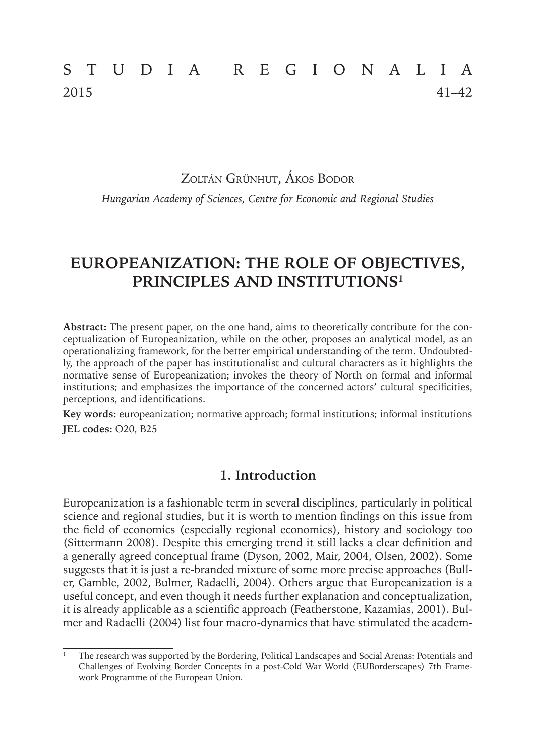# STUDIA REGIONALIA 2015 41–42

Zoltán Grünhut, Ákos Bodor

*Hungarian Academy of Sciences, Centre for Economic and Regional Studies*

# **EUROPEANIZATION: THE ROLE OF OBJECTIVES, PRINCIPLES AND INSTITUTIONS1**

**Abstract:** The present paper, on the one hand, aims to theoretically contribute for the conceptualization of Europeanization, while on the other, proposes an analytical model, as an operationalizing framework, for the better empirical understanding of the term. Undoubtedly, the approach of the paper has institutionalist and cultural characters as it highlights the normative sense of Europeanization; invokes the theory of North on formal and informal institutions; and emphasizes the importance of the concerned actors' cultural specificities, perceptions, and identifications.

**Key words:** europeanization; normative approach; formal institutions; informal institutions **JEL codes:** O20, B25

## **1. Introduction**

Europeanization is a fashionable term in several disciplines, particularly in political science and regional studies, but it is worth to mention findings on this issue from the field of economics (especially regional economics), history and sociology too (Sittermann 2008). Despite this emerging trend it still lacks a clear definition and a generally agreed conceptual frame (Dyson, 2002, Mair, 2004, Olsen, 2002). Some suggests that it is just a re-branded mixture of some more precise approaches (Buller, Gamble, 2002, Bulmer, Radaelli, 2004). Others argue that Europeanization is a useful concept, and even though it needs further explanation and conceptualization, it is already applicable as a scientific approach (Featherstone, Kazamias, 2001). Bulmer and Radaelli (2004) list four macro-dynamics that have stimulated the academ-

<sup>1</sup> The research was supported by the Bordering, Political Landscapes and Social Arenas: Potentials and Challenges of Evolving Border Concepts in a post-Cold War World (EUBorderscapes) 7th Framework Programme of the European Union.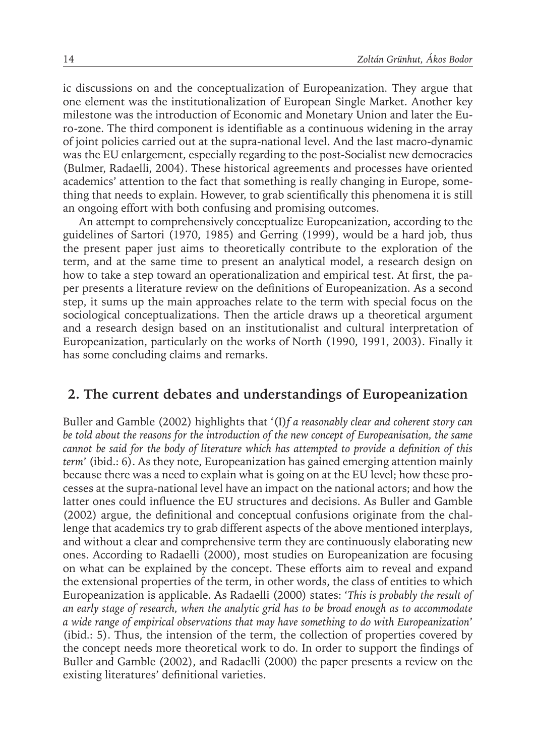ic discussions on and the conceptualization of Europeanization. They argue that one element was the institutionalization of European Single Market. Another key milestone was the introduction of Economic and Monetary Union and later the Euro-zone. The third component is identifiable as a continuous widening in the array of joint policies carried out at the supra-national level. And the last macro-dynamic was the EU enlargement, especially regarding to the post-Socialist new democracies (Bulmer, Radaelli, 2004). These historical agreements and processes have oriented academics' attention to the fact that something is really changing in Europe, something that needs to explain. However, to grab scientifically this phenomena it is still an ongoing effort with both confusing and promising outcomes.

An attempt to comprehensively conceptualize Europeanization, according to the guidelines of Sartori (1970, 1985) and Gerring (1999), would be a hard job, thus the present paper just aims to theoretically contribute to the exploration of the term, and at the same time to present an analytical model, a research design on how to take a step toward an operationalization and empirical test. At first, the paper presents a literature review on the definitions of Europeanization. As a second step, it sums up the main approaches relate to the term with special focus on the sociological conceptualizations. Then the article draws up a theoretical argument and a research design based on an institutionalist and cultural interpretation of Europeanization, particularly on the works of North (1990, 1991, 2003). Finally it has some concluding claims and remarks.

#### **2. The current debates and understandings of Europeanization**

Buller and Gamble (2002) highlights that '(I)*f a reasonably clear and coherent story can be told about the reasons for the introduction of the new concept of Europeanisation, the same cannot be said for the body of literature which has attempted to provide a definition of this term*' (ibid.: 6). As they note, Europeanization has gained emerging attention mainly because there was a need to explain what is going on at the EU level; how these processes at the supra-national level have an impact on the national actors; and how the latter ones could influence the EU structures and decisions. As Buller and Gamble (2002) argue, the definitional and conceptual confusions originate from the challenge that academics try to grab different aspects of the above mentioned interplays, and without a clear and comprehensive term they are continuously elaborating new ones. According to Radaelli (2000), most studies on Europeanization are focusing on what can be explained by the concept. These efforts aim to reveal and expand the extensional properties of the term, in other words, the class of entities to which Europeanization is applicable. As Radaelli (2000) states: '*This is probably the result of an early stage of research, when the analytic grid has to be broad enough as to accommodate a wide range of empirical observations that may have something to do with Europeanization*' (ibid.: 5). Thus, the intension of the term, the collection of properties covered by the concept needs more theoretical work to do. In order to support the findings of Buller and Gamble (2002), and Radaelli (2000) the paper presents a review on the existing literatures' definitional varieties.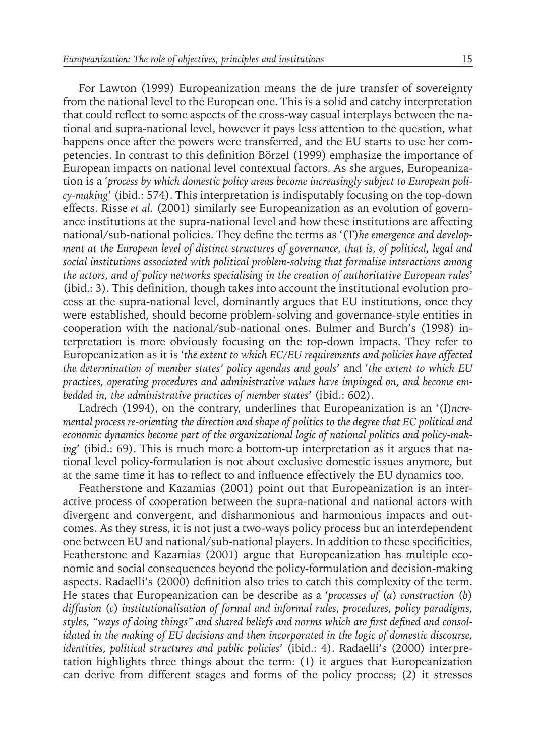For Lawton (1999) Europeanization means the de jure transfer of sovereignty from the national level to the European one. This is a solid and catchy interpretation that could reflect to some aspects of the cross-way casual interplays between the national and supra-national level, however it pays less attention to the question, what happens once after the powers were transferred, and the EU starts to use her competencies. In contrast to this definition Börzel (1999) emphasize the importance of European impacts on national level contextual factors. As she argues, Europeanization is a '*process by which domestic policy areas become increasingly subject to European policy-making*' (ibid.: 574). This interpretation is indisputably focusing on the top-down effects. Risse *et al.* (2001) similarly see Europeanization as an evolution of governance institutions at the supra-national level and how these institutions are affecting national/sub-national policies. They define the terms as '(T)*he emergence and development at the European level of distinct structures of governance, that is, of political, legal and social institutions associated with political problem-solving that formalise interactions among the actors, and of policy networks specialising in the creation of authoritative European rules*' (ibid.: 3). This definition, though takes into account the institutional evolution process at the supra-national level, dominantly argues that EU institutions, once they were established, should become problem-solving and governance-style entities in cooperation with the national/sub-national ones. Bulmer and Burch's (1998) interpretation is more obviously focusing on the top-down impacts. They refer to Europeanization as it is '*the extent to which EC/EU requirements and policies have affected the determination of member states' policy agendas and goals*' and '*the extent to which EU practices, operating procedures and administrative values have impinged on, and become embedded in, the administrative practices of member states*' (ibid.: 602).

Ladrech (1994), on the contrary, underlines that Europeanization is an '(I)*ncremental process re-orienting the direction and shape of politics to the degree that EC political and economic dynamics become part of the organizational logic of national politics and policy-making*' (ibid.: 69). This is much more a bottom-up interpretation as it argues that national level policy-formulation is not about exclusive domestic issues anymore, but at the same time it has to reflect to and influence effectively the EU dynamics too.

Featherstone and Kazamias (2001) point out that Europeanization is an interactive process of cooperation between the supra-national and national actors with divergent and convergent, and disharmonious and harmonious impacts and outcomes. As they stress, it is not just a two-ways policy process but an interdependent one between EU and national/sub-national players. In addition to these specificities, Featherstone and Kazamias (2001) argue that Europeanization has multiple economic and social consequences beyond the policy-formulation and decision-making aspects. Radaelli's (2000) definition also tries to catch this complexity of the term. He states that Europeanization can be describe as a '*processes of* (*a*) *construction* (*b*) *diffusion* (*c*) *institutionalisation of formal and informal rules, procedures, policy paradigms, styles, "ways of doing things" and shared beliefs and norms which are first defined and consolidated in the making of EU decisions and then incorporated in the logic of domestic discourse, identities, political structures and public policies*' (ibid.: 4). Radaelli's (2000) interpretation highlights three things about the term: (1) it argues that Europeanization can derive from different stages and forms of the policy process; (2) it stresses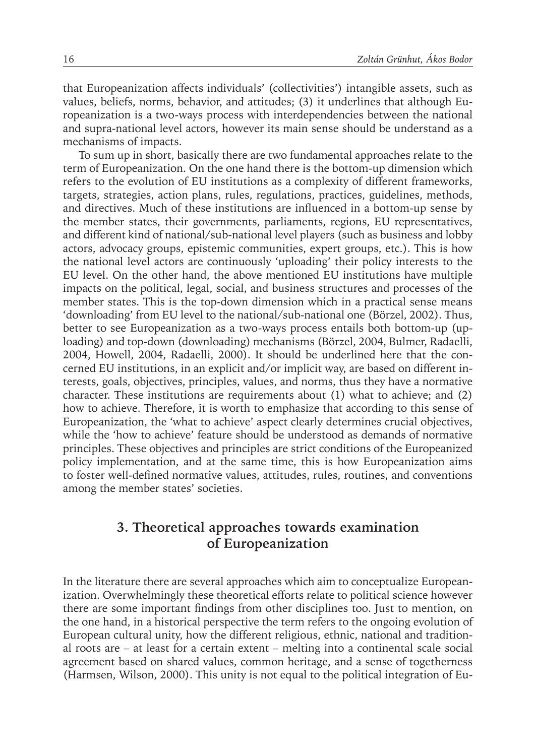that Europeanization affects individuals' (collectivities') intangible assets, such as values, beliefs, norms, behavior, and attitudes; (3) it underlines that although Europeanization is a two-ways process with interdependencies between the national and supra-national level actors, however its main sense should be understand as a mechanisms of impacts.

To sum up in short, basically there are two fundamental approaches relate to the term of Europeanization. On the one hand there is the bottom-up dimension which refers to the evolution of EU institutions as a complexity of different frameworks, targets, strategies, action plans, rules, regulations, practices, guidelines, methods, and directives. Much of these institutions are influenced in a bottom-up sense by the member states, their governments, parliaments, regions, EU representatives, and different kind of national/sub-national level players (such as business and lobby actors, advocacy groups, epistemic communities, expert groups, etc.). This is how the national level actors are continuously 'uploading' their policy interests to the EU level. On the other hand, the above mentioned EU institutions have multiple impacts on the political, legal, social, and business structures and processes of the member states. This is the top-down dimension which in a practical sense means 'downloading' from EU level to the national/sub-national one (Börzel, 2002). Thus, better to see Europeanization as a two-ways process entails both bottom-up (uploading) and top-down (downloading) mechanisms (Börzel, 2004, Bulmer, Radaelli, 2004, Howell, 2004, Radaelli, 2000). It should be underlined here that the concerned EU institutions, in an explicit and/or implicit way, are based on different interests, goals, objectives, principles, values, and norms, thus they have a normative character. These institutions are requirements about (1) what to achieve; and (2) how to achieve. Therefore, it is worth to emphasize that according to this sense of Europeanization, the 'what to achieve' aspect clearly determines crucial objectives, while the 'how to achieve' feature should be understood as demands of normative principles. These objectives and principles are strict conditions of the Europeanized policy implementation, and at the same time, this is how Europeanization aims to foster well-defined normative values, attitudes, rules, routines, and conventions among the member states' societies.

### **3. Theoretical approaches towards examination of Europeanization**

In the literature there are several approaches which aim to conceptualize Europeanization. Overwhelmingly these theoretical efforts relate to political science however there are some important findings from other disciplines too. Just to mention, on the one hand, in a historical perspective the term refers to the ongoing evolution of European cultural unity, how the different religious, ethnic, national and traditional roots are – at least for a certain extent – melting into a continental scale social agreement based on shared values, common heritage, and a sense of togetherness (Harmsen, Wilson, 2000). This unity is not equal to the political integration of Eu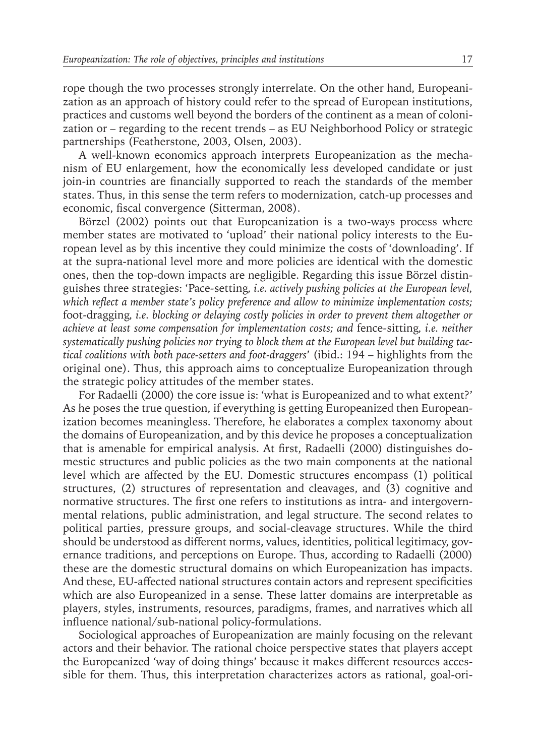rope though the two processes strongly interrelate. On the other hand, Europeanization as an approach of history could refer to the spread of European institutions, practices and customs well beyond the borders of the continent as a mean of colonization or – regarding to the recent trends – as EU Neighborhood Policy or strategic partnerships (Featherstone, 2003, Olsen, 2003).

A well-known economics approach interprets Europeanization as the mechanism of EU enlargement, how the economically less developed candidate or just join-in countries are financially supported to reach the standards of the member states. Thus, in this sense the term refers to modernization, catch-up processes and economic, fiscal convergence (Sitterman, 2008).

Börzel (2002) points out that Europeanization is a two-ways process where member states are motivated to 'upload' their national policy interests to the European level as by this incentive they could minimize the costs of 'downloading'. If at the supra-national level more and more policies are identical with the domestic ones, then the top-down impacts are negligible. Regarding this issue Börzel distinguishes three strategies: 'Pace-setting*, i.e. actively pushing policies at the European level, which reflect a member state's policy preference and allow to minimize implementation costs;*  foot-dragging*, i.e. blocking or delaying costly policies in order to prevent them altogether or achieve at least some compensation for implementation costs; and* fence-sitting*, i.e. neither systematically pushing policies nor trying to block them at the European level but building tactical coalitions with both pace-setters and foot-draggers*' (ibid.: 194 – highlights from the original one). Thus, this approach aims to conceptualize Europeanization through the strategic policy attitudes of the member states.

For Radaelli (2000) the core issue is: 'what is Europeanized and to what extent?' As he poses the true question, if everything is getting Europeanized then Europeanization becomes meaningless. Therefore, he elaborates a complex taxonomy about the domains of Europeanization, and by this device he proposes a conceptualization that is amenable for empirical analysis. At first, Radaelli (2000) distinguishes domestic structures and public policies as the two main components at the national level which are affected by the EU. Domestic structures encompass (1) political structures, (2) structures of representation and cleavages, and (3) cognitive and normative structures. The first one refers to institutions as intra- and intergovernmental relations, public administration, and legal structure. The second relates to political parties, pressure groups, and social-cleavage structures. While the third should be understood as different norms, values, identities, political legitimacy, governance traditions, and perceptions on Europe. Thus, according to Radaelli (2000) these are the domestic structural domains on which Europeanization has impacts. And these, EU-affected national structures contain actors and represent specificities which are also Europeanized in a sense. These latter domains are interpretable as players, styles, instruments, resources, paradigms, frames, and narratives which all influence national/sub-national policy-formulations.

Sociological approaches of Europeanization are mainly focusing on the relevant actors and their behavior. The rational choice perspective states that players accept the Europeanized 'way of doing things' because it makes different resources accessible for them. Thus, this interpretation characterizes actors as rational, goal-ori-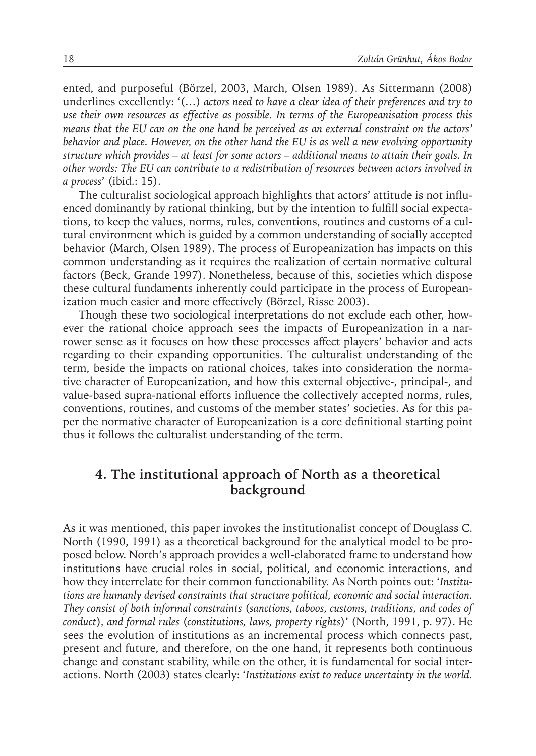ented, and purposeful (Börzel, 2003, March, Olsen 1989). As Sittermann (2008) underlines excellently: '(…) *actors need to have a clear idea of their preferences and try to use their own resources as effective as possible. In terms of the Europeanisation process this means that the EU can on the one hand be perceived as an external constraint on the actors' behavior and place. However, on the other hand the EU is as well a new evolving opportunity structure which provides – at least for some actors – additional means to attain their goals. In other words: The EU can contribute to a redistribution of resources between actors involved in a process*' (ibid.: 15).

The culturalist sociological approach highlights that actors' attitude is not influenced dominantly by rational thinking, but by the intention to fulfill social expectations, to keep the values, norms, rules, conventions, routines and customs of a cultural environment which is guided by a common understanding of socially accepted behavior (March, Olsen 1989). The process of Europeanization has impacts on this common understanding as it requires the realization of certain normative cultural factors (Beck, Grande 1997). Nonetheless, because of this, societies which dispose these cultural fundaments inherently could participate in the process of Europeanization much easier and more effectively (Börzel, Risse 2003).

Though these two sociological interpretations do not exclude each other, however the rational choice approach sees the impacts of Europeanization in a narrower sense as it focuses on how these processes affect players' behavior and acts regarding to their expanding opportunities. The culturalist understanding of the term, beside the impacts on rational choices, takes into consideration the normative character of Europeanization, and how this external objective-, principal-, and value-based supra-national efforts influence the collectively accepted norms, rules, conventions, routines, and customs of the member states' societies. As for this paper the normative character of Europeanization is a core definitional starting point thus it follows the culturalist understanding of the term.

## **4. The institutional approach of North as a theoretical background**

As it was mentioned, this paper invokes the institutionalist concept of Douglass C. North (1990, 1991) as a theoretical background for the analytical model to be proposed below. North's approach provides a well-elaborated frame to understand how institutions have crucial roles in social, political, and economic interactions, and how they interrelate for their common functionability. As North points out: '*Institutions are humanly devised constraints that structure political, economic and social interaction. They consist of both informal constraints* (*sanctions, taboos, customs, traditions, and codes of conduct*)*, and formal rules* (*constitutions, laws, property rights*)' (North, 1991, p. 97). He sees the evolution of institutions as an incremental process which connects past, present and future, and therefore, on the one hand, it represents both continuous change and constant stability, while on the other, it is fundamental for social interactions. North (2003) states clearly: '*Institutions exist to reduce uncertainty in the world.*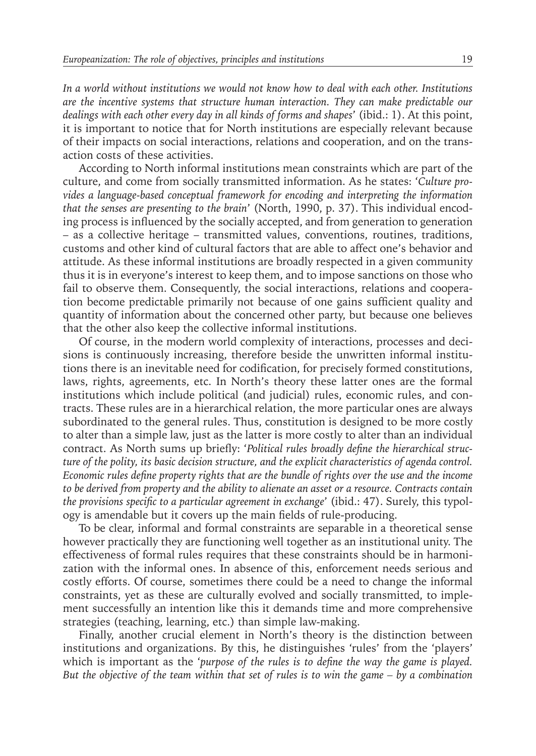*In a world without institutions we would not know how to deal with each other. Institutions are the incentive systems that structure human interaction. They can make predictable our dealings with each other every day in all kinds of forms and shapes*' (ibid.: 1). At this point, it is important to notice that for North institutions are especially relevant because of their impacts on social interactions, relations and cooperation, and on the transaction costs of these activities.

According to North informal institutions mean constraints which are part of the culture, and come from socially transmitted information. As he states: '*Culture provides a language-based conceptual framework for encoding and interpreting the information that the senses are presenting to the brain*' (North, 1990, p. 37). This individual encoding process is influenced by the socially accepted, and from generation to generation – as a collective heritage – transmitted values, conventions, routines, traditions, customs and other kind of cultural factors that are able to affect one's behavior and attitude. As these informal institutions are broadly respected in a given community thus it is in everyone's interest to keep them, and to impose sanctions on those who fail to observe them. Consequently, the social interactions, relations and cooperation become predictable primarily not because of one gains sufficient quality and quantity of information about the concerned other party, but because one believes that the other also keep the collective informal institutions.

Of course, in the modern world complexity of interactions, processes and decisions is continuously increasing, therefore beside the unwritten informal institutions there is an inevitable need for codification, for precisely formed constitutions, laws, rights, agreements, etc. In North's theory these latter ones are the formal institutions which include political (and judicial) rules, economic rules, and contracts. These rules are in a hierarchical relation, the more particular ones are always subordinated to the general rules. Thus, constitution is designed to be more costly to alter than a simple law, just as the latter is more costly to alter than an individual contract. As North sums up briefly: '*Political rules broadly define the hierarchical structure of the polity, its basic decision structure, and the explicit characteristics of agenda control. Economic rules define property rights that are the bundle of rights over the use and the income to be derived from property and the ability to alienate an asset or a resource. Contracts contain the provisions specific to a particular agreement in exchange*' (ibid.: 47). Surely, this typology is amendable but it covers up the main fields of rule-producing.

To be clear, informal and formal constraints are separable in a theoretical sense however practically they are functioning well together as an institutional unity. The effectiveness of formal rules requires that these constraints should be in harmonization with the informal ones. In absence of this, enforcement needs serious and costly efforts. Of course, sometimes there could be a need to change the informal constraints, yet as these are culturally evolved and socially transmitted, to implement successfully an intention like this it demands time and more comprehensive strategies (teaching, learning, etc.) than simple law-making.

Finally, another crucial element in North's theory is the distinction between institutions and organizations. By this, he distinguishes 'rules' from the 'players' which is important as the '*purpose of the rules is to define the way the game is played. But the objective of the team within that set of rules is to win the game – by a combination*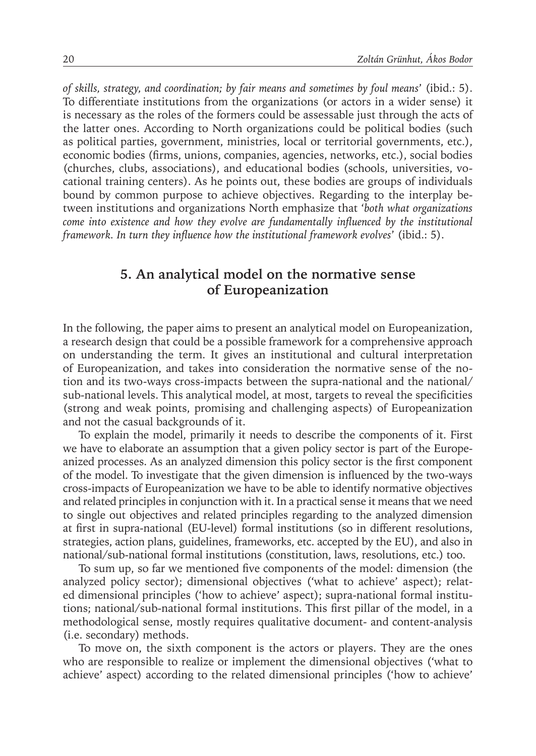*of skills, strategy, and coordination; by fair means and sometimes by foul means*' (ibid.: 5). To differentiate institutions from the organizations (or actors in a wider sense) it is necessary as the roles of the formers could be assessable just through the acts of the latter ones. According to North organizations could be political bodies (such as political parties, government, ministries, local or territorial governments, etc.), economic bodies (firms, unions, companies, agencies, networks, etc.), social bodies (churches, clubs, associations), and educational bodies (schools, universities, vocational training centers). As he points out, these bodies are groups of individuals bound by common purpose to achieve objectives. Regarding to the interplay between institutions and organizations North emphasize that '*both what organizations come into existence and how they evolve are fundamentally influenced by the institutional framework. In turn they influence how the institutional framework evolves*' (ibid.: 5).

### **5. An analytical model on the normative sense of Europeanization**

In the following, the paper aims to present an analytical model on Europeanization, a research design that could be a possible framework for a comprehensive approach on understanding the term. It gives an institutional and cultural interpretation of Europeanization, and takes into consideration the normative sense of the notion and its two-ways cross-impacts between the supra-national and the national/ sub-national levels. This analytical model, at most, targets to reveal the specificities (strong and weak points, promising and challenging aspects) of Europeanization and not the casual backgrounds of it.

To explain the model, primarily it needs to describe the components of it. First we have to elaborate an assumption that a given policy sector is part of the Europeanized processes. As an analyzed dimension this policy sector is the first component of the model. To investigate that the given dimension is influenced by the two-ways cross-impacts of Europeanization we have to be able to identify normative objectives and related principles in conjunction with it. In a practical sense it means that we need to single out objectives and related principles regarding to the analyzed dimension at first in supra-national (EU-level) formal institutions (so in different resolutions, strategies, action plans, guidelines, frameworks, etc. accepted by the EU), and also in national/sub-national formal institutions (constitution, laws, resolutions, etc.) too.

To sum up, so far we mentioned five components of the model: dimension (the analyzed policy sector); dimensional objectives ('what to achieve' aspect); related dimensional principles ('how to achieve' aspect); supra-national formal institutions; national/sub-national formal institutions. This first pillar of the model, in a methodological sense, mostly requires qualitative document- and content-analysis (i.e. secondary) methods.

To move on, the sixth component is the actors or players. They are the ones who are responsible to realize or implement the dimensional objectives ('what to achieve' aspect) according to the related dimensional principles ('how to achieve'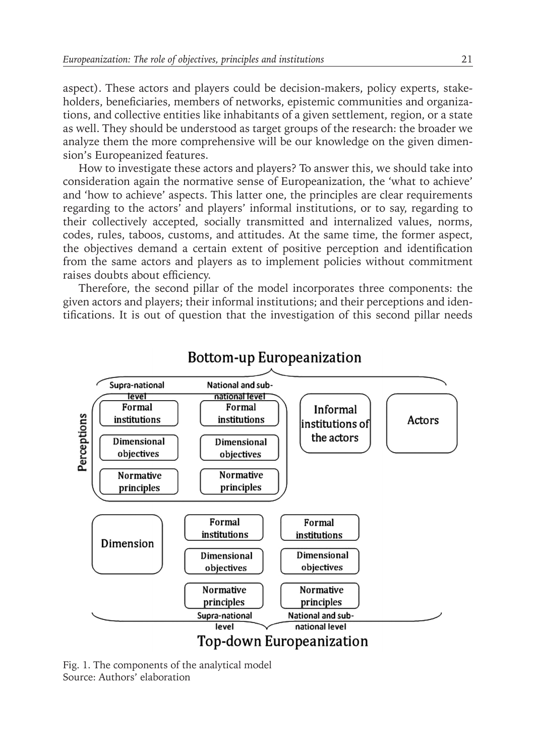aspect). These actors and players could be decision-makers, policy experts, stakeholders, beneficiaries, members of networks, epistemic communities and organizations, and collective entities like inhabitants of a given settlement, region, or a state as well. They should be understood as target groups of the research: the broader we analyze them the more comprehensive will be our knowledge on the given dimension's Europeanized features.

How to investigate these actors and players? To answer this, we should take into consideration again the normative sense of Europeanization, the 'what to achieve' and 'how to achieve' aspects. This latter one, the principles are clear requirements regarding to the actors' and players' informal institutions, or to say, regarding to their collectively accepted, socially transmitted and internalized values, norms, codes, rules, taboos, customs, and attitudes. At the same time, the former aspect, the objectives demand a certain extent of positive perception and identification from the same actors and players as to implement policies without commitment raises doubts about efficiency.

Therefore, the second pillar of the model incorporates three components: the given actors and players; their informal institutions; and their perceptions and identifications. It is out of question that the investigation of this second pillar needs



# **Bottom-up Europeanization**

Fig. 1. The components of the analytical model Source: Authors' elaboration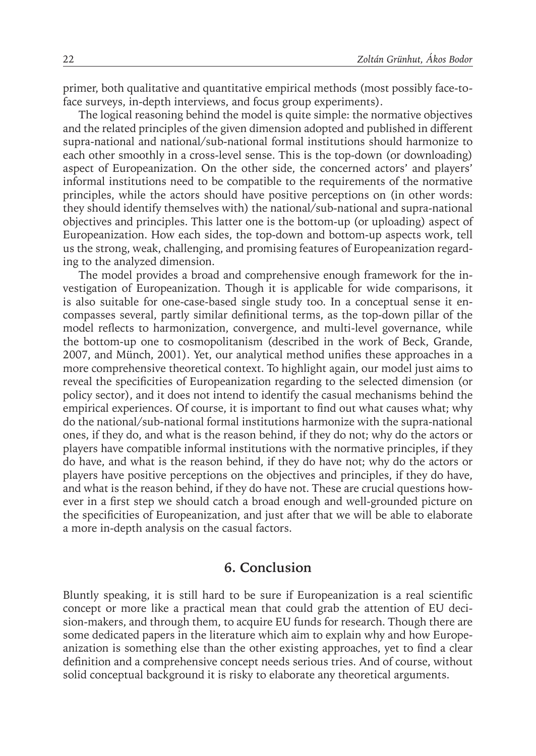primer, both qualitative and quantitative empirical methods (most possibly face-toface surveys, in-depth interviews, and focus group experiments).

The logical reasoning behind the model is quite simple: the normative objectives and the related principles of the given dimension adopted and published in different supra-national and national/sub-national formal institutions should harmonize to each other smoothly in a cross-level sense. This is the top-down (or downloading) aspect of Europeanization. On the other side, the concerned actors' and players' informal institutions need to be compatible to the requirements of the normative principles, while the actors should have positive perceptions on (in other words: they should identify themselves with) the national/sub-national and supra-national objectives and principles. This latter one is the bottom-up (or uploading) aspect of Europeanization. How each sides, the top-down and bottom-up aspects work, tell us the strong, weak, challenging, and promising features of Europeanization regarding to the analyzed dimension.

The model provides a broad and comprehensive enough framework for the investigation of Europeanization. Though it is applicable for wide comparisons, it is also suitable for one-case-based single study too. In a conceptual sense it encompasses several, partly similar definitional terms, as the top-down pillar of the model reflects to harmonization, convergence, and multi-level governance, while the bottom-up one to cosmopolitanism (described in the work of Beck, Grande, 2007, and Münch, 2001). Yet, our analytical method unifies these approaches in a more comprehensive theoretical context. To highlight again, our model just aims to reveal the specificities of Europeanization regarding to the selected dimension (or policy sector), and it does not intend to identify the casual mechanisms behind the empirical experiences. Of course, it is important to find out what causes what; why do the national/sub-national formal institutions harmonize with the supra-national ones, if they do, and what is the reason behind, if they do not; why do the actors or players have compatible informal institutions with the normative principles, if they do have, and what is the reason behind, if they do have not; why do the actors or players have positive perceptions on the objectives and principles, if they do have, and what is the reason behind, if they do have not. These are crucial questions however in a first step we should catch a broad enough and well-grounded picture on the specificities of Europeanization, and just after that we will be able to elaborate a more in-depth analysis on the casual factors.

#### **6. Conclusion**

Bluntly speaking, it is still hard to be sure if Europeanization is a real scientific concept or more like a practical mean that could grab the attention of EU decision-makers, and through them, to acquire EU funds for research. Though there are some dedicated papers in the literature which aim to explain why and how Europeanization is something else than the other existing approaches, yet to find a clear definition and a comprehensive concept needs serious tries. And of course, without solid conceptual background it is risky to elaborate any theoretical arguments.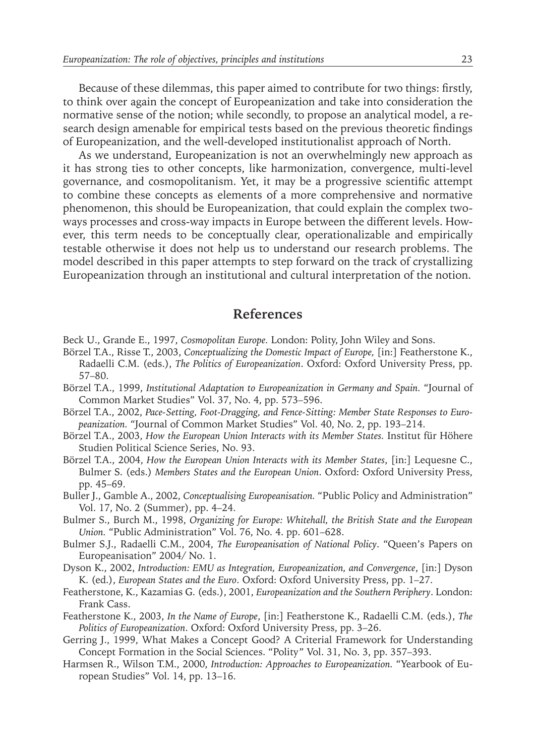Because of these dilemmas, this paper aimed to contribute for two things: firstly, to think over again the concept of Europeanization and take into consideration the normative sense of the notion; while secondly, to propose an analytical model, a research design amenable for empirical tests based on the previous theoretic findings of Europeanization, and the well-developed institutionalist approach of North.

As we understand, Europeanization is not an overwhelmingly new approach as it has strong ties to other concepts, like harmonization, convergence, multi-level governance, and cosmopolitanism. Yet, it may be a progressive scientific attempt to combine these concepts as elements of a more comprehensive and normative phenomenon, this should be Europeanization, that could explain the complex twoways processes and cross-way impacts in Europe between the different levels. However, this term needs to be conceptually clear, operationalizable and empirically testable otherwise it does not help us to understand our research problems. The model described in this paper attempts to step forward on the track of crystallizing Europeanization through an institutional and cultural interpretation of the notion.

#### **References**

- Beck U., Grande E., 1997, *Cosmopolitan Europe.* London: Polity, John Wiley and Sons.
- Börzel T.A., Risse T., 2003, *Conceptualizing the Domestic Impact of Europe,* [in:] Featherstone K., Radaelli C.M. (eds.), *The Politics of Europeanization*. Oxford: Oxford University Press, pp. 57–80.
- Börzel T.A., 1999, *Institutional Adaptation to Europeanization in Germany and Spain.* "Journal of Common Market Studies" Vol. 37, No. 4, pp. 573–596.
- Börzel T.A., 2002, *Pace-Setting, Foot-Dragging, and Fence-Sitting: Member State Responses to Europeanization.* "Journal of Common Market Studies" Vol. 40, No. 2, pp. 193–214.
- Börzel T.A., 2003, *How the European Union Interacts with its Member States.* Institut für Höhere Studien Political Science Series, No. 93.
- Börzel T.A., 2004, *How the European Union Interacts with its Member States*, [in:] Lequesne C., Bulmer S. (eds.) *Members States and the European Union*. Oxford: Oxford University Press, pp. 45–69.
- Buller J., Gamble A., 2002, *Conceptualising Europeanisation.* "Public Policy and Administration" Vol. 17, No. 2 (Summer), pp. 4–24.
- Bulmer S., Burch M., 1998, *Organizing for Europe: Whitehall, the British State and the European Union.* "Public Administration" Vol. 76, No. 4. pp. 601–628.
- Bulmer S.J., Radaelli C.M., 2004, *The Europeanisation of National Policy*. "Queen's Papers on Europeanisation" 2004/ No. 1.
- Dyson K., 2002, *Introduction: EMU as Integration, Europeanization, and Convergence*, [in:] Dyson K. (ed.), *European States and the Euro*. Oxford: Oxford University Press, pp. 1–27.
- Featherstone, K., Kazamias G. (eds.), 2001, *Europeanization and the Southern Periphery*. London: Frank Cass.
- Featherstone K., 2003, *In the Name of Europe*, [in:] Featherstone K., Radaelli C.M. (eds.), *The Politics of Europeanization*. Oxford: Oxford University Press, pp. 3–26.
- Gerring J., 1999, What Makes a Concept Good? A Criterial Framework for Understanding Concept Formation in the Social Sciences. "Polity" Vol. 31, No. 3, pp. 357–393.
- Harmsen R., Wilson T.M., 2000, *Introduction: Approaches to Europeanization.* "Yearbook of European Studies" Vol. 14, pp. 13–16.